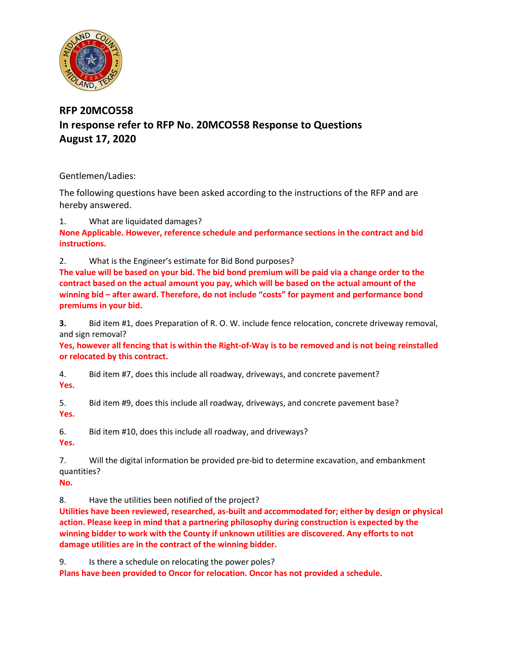

## **RFP 20MCO558 In response refer to RFP No. 20MCO558 Response to Questions August 17, 2020**

Gentlemen/Ladies:

The following questions have been asked according to the instructions of the RFP and are hereby answered.

1. What are liquidated damages?

**None Applicable. However, reference schedule and performance sections in the contract and bid instructions.**

2. What is the Engineer's estimate for Bid Bond purposes?

**The value will be based on your bid. The bid bond premium will be paid via a change order to the contract based on the actual amount you pay, which will be based on the actual amount of the winning bid – after award. Therefore, do not include "costs" for payment and performance bond premiums in your bid.**

**3.** Bid item #1, does Preparation of R. O. W. include fence relocation, concrete driveway removal, and sign removal?

**Yes, however all fencing that is within the Right-of-Way is to be removed and is not being reinstalled or relocated by this contract.**

4. Bid item #7, does this include all roadway, driveways, and concrete pavement?

**Yes.**

5. Bid item #9, does this include all roadway, driveways, and concrete pavement base? **Yes.**

6. Bid item #10, does this include all roadway, and driveways?

**Yes.**

7. Will the digital information be provided pre-bid to determine excavation, and embankment quantities?

**No.**

8. Have the utilities been notified of the project?

**Utilities have been reviewed, researched, as-built and accommodated for; either by design or physical action. Please keep in mind that a partnering philosophy during construction is expected by the winning bidder to work with the County if unknown utilities are discovered. Any efforts to not damage utilities are in the contract of the winning bidder.**

9. Is there a schedule on relocating the power poles?

**Plans have been provided to Oncor for relocation. Oncor has not provided a schedule.**